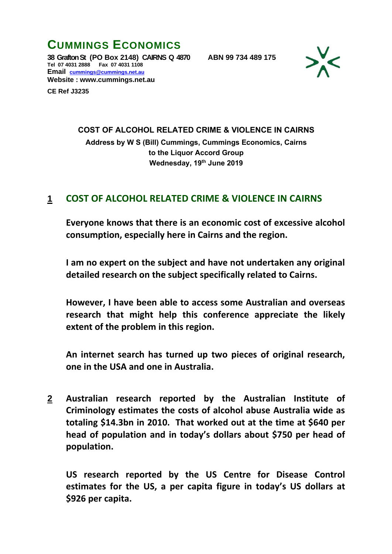**CUMMINGS ECONOMICS 38 Grafton St (PO Box 2148) CAIRNS Q 4870 ABN 99 734 489 175 Tel 07 4031 2888 Fax 07 4031 1108 Email [cummings@cummings.net.au](mailto:cummings@cummings.net.au) Website : www.cummings.net.au**

**CE Ref J3235**



## **COST OF ALCOHOL RELATED CRIME & VIOLENCE IN CAIRNS**

**Address by W S (Bill) Cummings, Cummings Economics, Cairns to the Liquor Accord Group Wednesday, 19th June 2019**

## **1 COST OF ALCOHOL RELATED CRIME & VIOLENCE IN CAIRNS**

**Everyone knows that there is an economic cost of excessive alcohol consumption, especially here in Cairns and the region.**

**I am no expert on the subject and have not undertaken any original detailed research on the subject specifically related to Cairns.**

**However, I have been able to access some Australian and overseas research that might help this conference appreciate the likely extent of the problem in this region.**

**An internet search has turned up two pieces of original research, one in the USA and one in Australia.**

**2 Australian research reported by the Australian Institute of Criminology estimates the costs of alcohol abuse Australia wide as totaling \$14.3bn in 2010. That worked out at the time at \$640 per head of population and in today's dollars about \$750 per head of population.**

**US research reported by the US Centre for Disease Control estimates for the US, a per capita figure in today's US dollars at \$926 per capita.**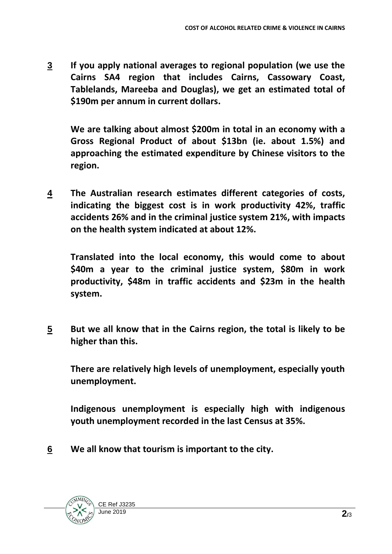**3 If you apply national averages to regional population (we use the Cairns SA4 region that includes Cairns, Cassowary Coast, Tablelands, Mareeba and Douglas), we get an estimated total of \$190m per annum in current dollars.**

**We are talking about almost \$200m in total in an economy with a Gross Regional Product of about \$13bn (ie. about 1.5%) and approaching the estimated expenditure by Chinese visitors to the region.**

**4 The Australian research estimates different categories of costs, indicating the biggest cost is in work productivity 42%, traffic accidents 26% and in the criminal justice system 21%, with impacts on the health system indicated at about 12%.**

**Translated into the local economy, this would come to about \$40m a year to the criminal justice system, \$80m in work productivity, \$48m in traffic accidents and \$23m in the health system.**

**5 But we all know that in the Cairns region, the total is likely to be higher than this.**

**There are relatively high levels of unemployment, especially youth unemployment.**

**Indigenous unemployment is especially high with indigenous youth unemployment recorded in the last Census at 35%.**

**6 We all know that tourism is important to the city.**